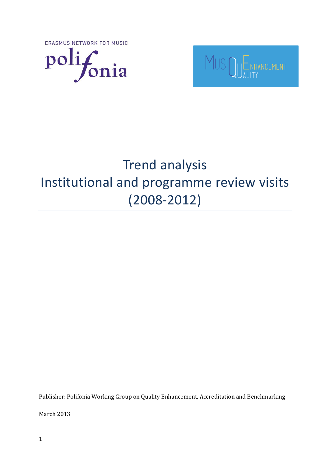ERASMUS NETWORK FOR MUSIC





# Trend analysis Institutional and programme review visits (2008-2012)

Publisher: Polifonia Working Group on Quality Enhancement, Accreditation and Benchmarking

March 2013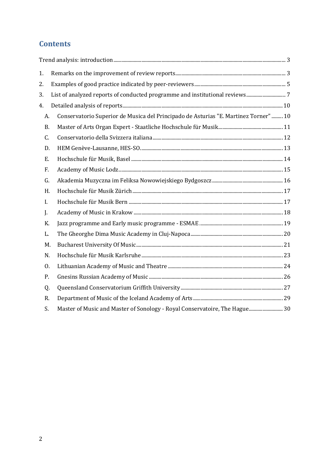# **Contents**

| 1.          |                                                                                      |  |
|-------------|--------------------------------------------------------------------------------------|--|
| 2.          |                                                                                      |  |
| 3.          |                                                                                      |  |
| 4.          |                                                                                      |  |
| А.          | Conservatorio Superior de Musica del Principado de Asturias "E. Martinez Torner"  10 |  |
| <b>B.</b>   |                                                                                      |  |
| C.          |                                                                                      |  |
| D.          |                                                                                      |  |
| Ε.          |                                                                                      |  |
| F.          |                                                                                      |  |
| G.          |                                                                                      |  |
| H.          |                                                                                      |  |
| $I_{\cdot}$ |                                                                                      |  |
| J.          |                                                                                      |  |
| К.          |                                                                                      |  |
| L.          |                                                                                      |  |
| M.          |                                                                                      |  |
| N.          |                                                                                      |  |
| 0.          |                                                                                      |  |
| P.          |                                                                                      |  |
| Q.          |                                                                                      |  |
| R.          |                                                                                      |  |
| S.          | Master of Music and Master of Sonology - Royal Conservatoire, The Hague 30           |  |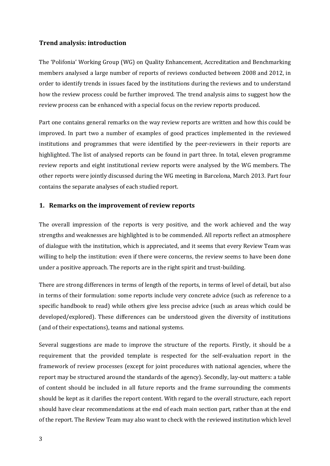#### <span id="page-2-0"></span>**Trend analysis: introduction**

The 'Polifonia' Working Group (WG) on Quality Enhancement, Accreditation and Benchmarking members analysed a large number of reports of reviews conducted between 2008 and 2012, in order to identify trends in issues faced by the institutions during the reviews and to understand how the review process could be further improved. The trend analysis aims to suggest how the review process can be enhanced with a special focus on the review reports produced.

Part one contains general remarks on the way review reports are written and how this could be improved. In part two a number of examples of good practices implemented in the reviewed institutions and programmes that were identified by the peer-reviewers in their reports are highlighted. The list of analysed reports can be found in part three. In total, eleven programme review reports and eight institutional review reports were analysed by the WG members. The other reports were jointly discussed during the WG meeting in Barcelona, March 2013. Part four contains the separate analyses of each studied report.

#### <span id="page-2-1"></span>**1. Remarks on the improvement of review reports**

The overall impression of the reports is very positive, and the work achieved and the way strengths and weaknesses are highlighted is to be commended. All reports reflect an atmosphere of dialogue with the institution, which is appreciated, and it seems that every Review Team was willing to help the institution: even if there were concerns, the review seems to have been done under a positive approach. The reports are in the right spirit and trust-building.

There are strong differences in terms of length of the reports, in terms of level of detail, but also in terms of their formulation: some reports include very concrete advice (such as reference to a specific handbook to read) while others give less precise advice (such as areas which could be developed/explored). These differences can be understood given the diversity of institutions (and of their expectations), teams and national systems.

Several suggestions are made to improve the structure of the reports. Firstly, it should be a requirement that the provided template is respected for the self-evaluation report in the framework of review processes (except for joint procedures with national agencies, where the report may be structured around the standards of the agency). Secondly, lay-out matters: a table of content should be included in all future reports and the frame surrounding the comments should be kept as it clarifies the report content. With regard to the overall structure, each report should have clear recommendations at the end of each main section part, rather than at the end of the report. The Review Team may also want to check with the reviewed institution which level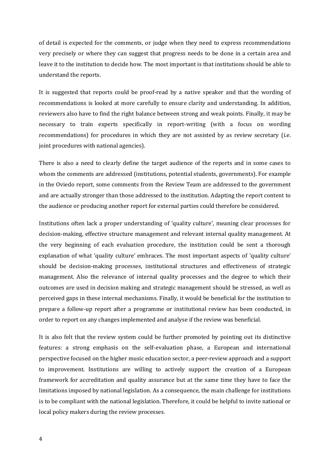of detail is expected for the comments, or judge when they need to express recommendations very precisely or where they can suggest that progress needs to be done in a certain area and leave it to the institution to decide how. The most important is that institutions should be able to understand the reports.

It is suggested that reports could be proof-read by a native speaker and that the wording of recommendations is looked at more carefully to ensure clarity and understanding. In addition, reviewers also have to find the right balance between strong and weak points. Finally, it may be necessary to train experts specifically in report-writing (with a focus on wording recommendations) for procedures in which they are not assisted by as review secretary (i.e. joint procedures with national agencies).

There is also a need to clearly define the target audience of the reports and in some cases to whom the comments are addressed (institutions, potential students, governments). For example in the Oviedo report, some comments from the Review Team are addressed to the government and are actually stronger than those addressed to the institution. Adapting the report content to the audience or producing another report for external parties could therefore be considered.

Institutions often lack a proper understanding of 'quality culture', meaning clear processes for decision-making, effective structure management and relevant internal quality management. At the very beginning of each evaluation procedure, the institution could be sent a thorough explanation of what 'quality culture' embraces. The most important aspects of 'quality culture' should be decision-making processes, institutional structures and effectiveness of strategic management. Also the relevance of internal quality processes and the degree to which their outcomes are used in decision making and strategic management should be stressed, as well as perceived gaps in these internal mechanisms. Finally, it would be beneficial for the institution to prepare a follow-up report after a programme or institutional review has been conducted, in order to report on any changes implemented and analyse if the review was beneficial.

It is also felt that the review system could be further promoted by pointing out its distinctive features: a strong emphasis on the self-evaluation phase, a European and international perspective focused on the higher music education sector, a peer-review approach and a support to improvement. Institutions are willing to actively support the creation of a European framework for accreditation and quality assurance but at the same time they have to face the limitations imposed by national legislation. As a consequence, the main challenge for institutions is to be compliant with the national legislation. Therefore, it could be helpful to invite national or local policy makers during the review processes.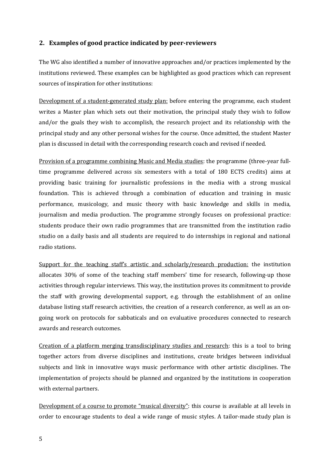#### <span id="page-4-0"></span>**2. Examples of good practice indicated by peer-reviewers**

The WG also identified a number of innovative approaches and/or practices implemented by the institutions reviewed. These examples can be highlighted as good practices which can represent sources of inspiration for other institutions:

Development of a student-generated study plan: before entering the programme, each student writes a Master plan which sets out their motivation, the principal study they wish to follow and/or the goals they wish to accomplish, the research project and its relationship with the principal study and any other personal wishes for the course. Once admitted, the student Master plan is discussed in detail with the corresponding research coach and revised if needed.

Provision of a programme combining Music and Media studies: the programme (three-year fulltime programme delivered across six semesters with a total of 180 ECTS credits) aims at providing basic training for journalistic professions in the media with a strong musical foundation. This is achieved through a combination of education and training in music performance, musicology, and music theory with basic knowledge and skills in media, journalism and media production. The programme strongly focuses on professional practice: students produce their own radio programmes that are transmitted from the institution radio studio on a daily basis and all students are required to do internships in regional and national radio stations.

Support for the teaching staff's artistic and scholarly/research production: the institution allocates 30% of some of the teaching staff members' time for research, following-up those activities through regular interviews. This way, the institution proves its commitment to provide the staff with growing developmental support, e.g. through the establishment of an online database listing staff research activities, the creation of a research conference, as well as an ongoing work on protocols for sabbaticals and on evaluative procedures connected to research awards and research outcomes.

Creation of a platform merging transdisciplinary studies and research: this is a tool to bring together actors from diverse disciplines and institutions, create bridges between individual subjects and link in innovative ways music performance with other artistic disciplines. The implementation of projects should be planned and organized by the institutions in cooperation with external partners.

Development of a course to promote "musical diversity": this course is available at all levels in order to encourage students to deal a wide range of music styles. A tailor-made study plan is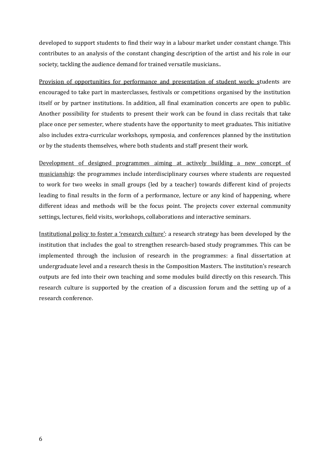developed to support students to find their way in a labour market under constant change. This contributes to an analysis of the constant changing description of the artist and his role in our society, tackling the audience demand for trained versatile musicians..

Provision of opportunities for performance and presentation of student work: students are encouraged to take part in masterclasses, festivals or competitions organised by the institution itself or by partner institutions. In addition, all final examination concerts are open to public. Another possibility for students to present their work can be found in class recitals that take place once per semester, where students have the opportunity to meet graduates. This initiative also includes extra-curricular workshops, symposia, and conferences planned by the institution or by the students themselves, where both students and staff present their work.

Development of designed programmes aiming at actively building a new concept of musicianship: the programmes include interdisciplinary courses where students are requested to work for two weeks in small groups (led by a teacher) towards different kind of projects leading to final results in the form of a performance, lecture or any kind of happening, where different ideas and methods will be the focus point. The projects cover external community settings, lectures, field visits, workshops, collaborations and interactive seminars.

Institutional policy to foster a 'research culture': a research strategy has been developed by the institution that includes the goal to strengthen research-based study programmes. This can be implemented through the inclusion of research in the programmes: a final dissertation at undergraduate level and a research thesis in the Composition Masters. The institution's research outputs are fed into their own teaching and some modules build directly on this research. This research culture is supported by the creation of a discussion forum and the setting up of a research conference.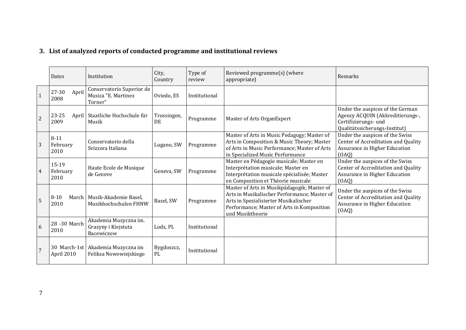# **3. List of analyzed reports of conducted programme and institutional reviews**

<span id="page-6-0"></span>

|                | Dates                        | Institution                                                   | City,<br>Country   | Type of<br>review | Reviewed programme(s) (where<br>appropriate)                                                                                                                                                           | Remarks                                                                                                                       |
|----------------|------------------------------|---------------------------------------------------------------|--------------------|-------------------|--------------------------------------------------------------------------------------------------------------------------------------------------------------------------------------------------------|-------------------------------------------------------------------------------------------------------------------------------|
| $\mathbf{1}$   | 27-30<br>April<br>2008       | Conservatorio Superior de<br>Musica "E. Martinez<br>Torner"   | Oviedo, ES         | Institutional     |                                                                                                                                                                                                        |                                                                                                                               |
| $\overline{c}$ | 23-25<br>2009                | April   Staatliche Hochschule für<br>Musik                    | Trossingen,<br>DE. | Programme         | Master of Arts OrganExpert                                                                                                                                                                             | Under the auspices of the German<br>Agency ACQUIN (Akkreditierungs-,<br>Certifizierungs- und<br>Qualitätssicherungs-Institut) |
| 3              | $8 - 11$<br>February<br>2010 | Conservatorio della<br>Svizzera Italiana                      | Lugano, SW         | Programme         | Master of Arts in Music Pedagogy; Master of<br>Arts in Composition & Music Theory; Master<br>of Arts in Music Performance; Master of Arts<br>in Specialized Music Performance                          | Under the auspices of the Swiss<br>Center of Accreditation and Quality<br>Assurance in Higher Education<br>(OAO)              |
| $\overline{4}$ | 15-19<br>February<br>2010    | Haute Ecole de Musique<br>de Geneve                           | Geneva, SW         | Programme         | Master en Pédagogie musicale; Master en<br>Interprétation musicale; Master en<br>Interprétation musicale spécialisée; Master<br>en Composition et Théorie musicale                                     | Under the auspices of the Swiss<br>Center of Accreditation and Quality<br>Assurance in Higher Education<br>(OAQ)              |
| 5              | $8 - 10$<br>2010             | March   Musik-Akademie Basel,<br>Musikhochschulen FHNW        | Basel, SW          | Programme         | Master of Arts in Musikpädagogik; Master of<br>Arts in Musikalischer Performance; Master of<br>Arts in Spezialisierter Musikalischer<br>Performance; Master of Arts in Komposition<br>und Musiktheorie | Under the auspices of the Swiss<br>Center of Accreditation and Quality<br>Assurance in Higher Education<br>(OAQ)              |
| 6              | 28 - 30 March<br>2010        | Akademia Muzyczna im.<br>Grazyny i Kiejstuta<br>Bacewiczow    | Lodz, PL           | Institutional     |                                                                                                                                                                                                        |                                                                                                                               |
|                | April 2010                   | 30 March-1st   Akademia Muzyczna im<br>Feliksa Nowowiejskiego | Bygdoszcz,<br>PL   | Institutional     |                                                                                                                                                                                                        |                                                                                                                               |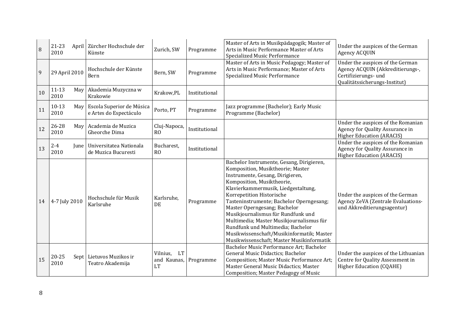| 8  | 21-23<br>2010            | April   Zürcher Hochschule der<br>Künste            | Zurich, SW                                        | Programme     | Master of Arts in Musikpädagogik; Master of<br>Arts in Music Performance Master of Arts<br>Specialized Music Performance                                                                                                                                                                                                                                                                                                                                                                                          | Under the auspices of the German<br>Agency ACQUIN                                                                             |
|----|--------------------------|-----------------------------------------------------|---------------------------------------------------|---------------|-------------------------------------------------------------------------------------------------------------------------------------------------------------------------------------------------------------------------------------------------------------------------------------------------------------------------------------------------------------------------------------------------------------------------------------------------------------------------------------------------------------------|-------------------------------------------------------------------------------------------------------------------------------|
| 9  | 29 April 2010            | Hochschule der Künste<br>Bern                       | Bern, SW                                          | Programme     | Master of Arts in Music Pedagogy; Master of<br>Arts in Music Performance; Master of Arts<br>Specialized Music Performance                                                                                                                                                                                                                                                                                                                                                                                         | Under the auspices of the German<br>Agency ACQUIN (Akkreditierungs-,<br>Certifizierungs- und<br>Qualitätssicherungs-Institut) |
| 10 | $11 - 13$<br>May<br>2010 | Akademia Muzyczna w<br>Krakowie                     | Krakow, PL                                        | Institutional |                                                                                                                                                                                                                                                                                                                                                                                                                                                                                                                   |                                                                                                                               |
| 11 | $10-13$<br>May<br>2010   | Escola Superior de Música<br>e Artes do Espectáculo | Porto, PT                                         | Programme     | Jazz programme (Bachelor); Early Music<br>Programme (Bachelor)                                                                                                                                                                                                                                                                                                                                                                                                                                                    |                                                                                                                               |
| 12 | 26-28<br>May<br>2010     | Academia de Muzica<br><b>Gheorche Dima</b>          | Cluj-Napoca,<br>R <sub>O</sub>                    | Institutional |                                                                                                                                                                                                                                                                                                                                                                                                                                                                                                                   | Under the auspices of the Romanian<br>Agency for Quality Assurance in<br><b>Higher Education (ARACIS)</b>                     |
| 13 | $2 - 4$<br>June<br>2010  | Universitatea Nationala<br>de Muzica Bucuresti      | Bucharest,<br>RO                                  | Institutional |                                                                                                                                                                                                                                                                                                                                                                                                                                                                                                                   | Under the auspices of the Romanian<br>Agency for Quality Assurance in<br><b>Higher Education (ARACIS)</b>                     |
| 14 | 4-7 July 2010            | Hochschule für Musik<br>Karlsruhe                   | Karlsruhe,<br>DE                                  | Programme     | Bachelor Instrumente, Gesang, Dirigieren,<br>Komposition, Musiktheorie; Master<br>Instrumente, Gesang, Dirigieren,<br>Komposition, Musiktheorie,<br>Klavierkammermusik, Liedgestaltung,<br>Korrepetition Historische<br>Tasteninstrumente; Bachelor Operngesang;<br>Master Operngesang; Bachelor<br>Musikjournalismus für Rundfunk und<br>Multimedia; Master Musikjournalismus für<br>Rundfunk und Multimedia; Bachelor<br>Musikwissenschaft/Musikinformatik; Master<br>Musikwissenschaft; Master Musikinformatik | Under the auspices of the German<br>Agency ZeVA (Zentrale Evaluations-<br>und Akkreditierungsagentur)                         |
| 15 | 20-25<br>2010            | Sept   Lietuvos Muzikos ir<br>Teatro Akademija      | <b>LT</b><br>Vilnius.<br>and Kaunas,<br><b>LT</b> | Programme     | Bachelor Music Performance Art; Bachelor<br>General Music Didactics; Bachelor<br>Composition; Master Music Performance Art;<br>Master General Music Didactics; Master<br>Composition; Master Pedagogy of Music                                                                                                                                                                                                                                                                                                    | Under the auspices of the Lithuanian<br>Centre for Quality Assessment in<br><b>Higher Education (CQAHE)</b>                   |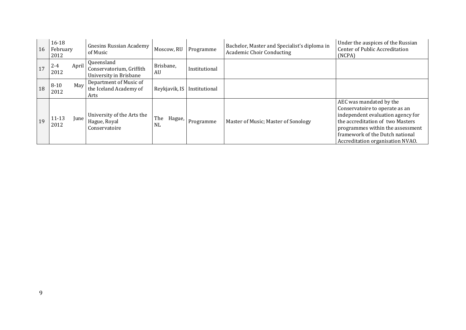| 16 | $16 - 18$<br>February<br>2012 | Gnesins Russian Academy<br>of Music                              | Moscow, RU                 | Programme     | Bachelor, Master and Specialist's diploma in<br><b>Academic Choir Conducting</b> | Under the auspices of the Russian<br><b>Center of Public Accreditation</b><br>(NCPA)                                                                                                                                                          |
|----|-------------------------------|------------------------------------------------------------------|----------------------------|---------------|----------------------------------------------------------------------------------|-----------------------------------------------------------------------------------------------------------------------------------------------------------------------------------------------------------------------------------------------|
| 17 | April<br>$2 - 4$<br>2012      | Queensland<br>Conservatorium, Griffith<br>University in Brisbane | Brisbane,<br>AU            | Institutional |                                                                                  |                                                                                                                                                                                                                                               |
| 18 | May<br>$8 - 10$<br>2012       | Department of Music of<br>the Iceland Academy of<br>Arts         | Reykjavik, IS              | Institutional |                                                                                  |                                                                                                                                                                                                                                               |
| 19 | $11 - 13$<br>June<br>2012     | University of the Arts the<br>Hague, Royal<br>Conservatoire      | The<br>Hague,<br><b>NL</b> | Programme     | Master of Music; Master of Sonology                                              | AEC was mandated by the<br>Conservatoire to operate as an<br>independent evaluation agency for<br>the accreditation of two Masters<br>programmes within the assessment<br>framework of the Dutch national<br>Accreditation organisation NVAO. |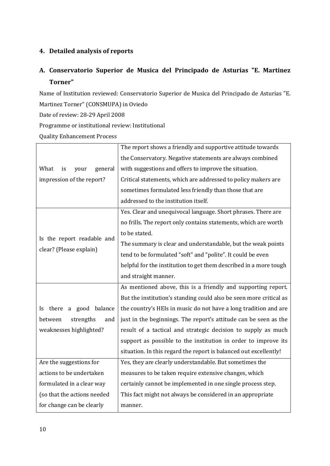# <span id="page-9-0"></span>**4. Detailed analysis of reports**

# <span id="page-9-1"></span>**A. Conservatorio Superior de Musica del Principado de Asturias "E. Martinez Torner"**

Name of Institution reviewed: Conservatorio Superior de Musica del Principado de Asturias "E. Martinez Torner" (CONSMUPA) in Oviedo Date of review: 28-29 April 2008

Programme or institutional review: Institutional

Quality Enhancement Process

|                               | The report shows a friendly and supportive attitude towards        |  |  |
|-------------------------------|--------------------------------------------------------------------|--|--|
|                               | the Conservatory. Negative statements are always combined          |  |  |
| What<br>general<br>is<br>your | with suggestions and offers to improve the situation.              |  |  |
| impression of the report?     | Critical statements, which are addressed to policy makers are      |  |  |
|                               | sometimes formulated less friendly than those that are             |  |  |
|                               | addressed to the institution itself.                               |  |  |
|                               | Yes. Clear and unequivocal language. Short phrases. There are      |  |  |
|                               | no frills. The report only contains statements, which are worth    |  |  |
|                               | to be stated.                                                      |  |  |
| Is the report readable and    | The summary is clear and understandable, but the weak points       |  |  |
| clear? (Please explain)       | tend to be formulated "soft" and "polite". It could be even        |  |  |
|                               | helpful for the institution to get them described in a more tough  |  |  |
|                               | and straight manner.                                               |  |  |
|                               | As mentioned above, this is a friendly and supporting report.      |  |  |
|                               | But the institution's standing could also be seen more critical as |  |  |
| a good balance<br>there<br>Is | the country's HEIs in music do not have a long tradition and are   |  |  |
| strengths<br>between<br>and   | just in the beginnings. The report's attitude can be seen as the   |  |  |
| weaknesses highlighted?       | result of a tactical and strategic decision to supply as much      |  |  |
|                               | support as possible to the institution in order to improve its     |  |  |
|                               | situation. In this regard the report is balanced out excellently!  |  |  |
| Are the suggestions for       | Yes, they are clearly understandable. But sometimes the            |  |  |
| actions to be undertaken      | measures to be taken require extensive changes, which              |  |  |
| formulated in a clear way     | certainly cannot be implemented in one single process step.        |  |  |
| (so that the actions needed   | This fact might not always be considered in an appropriate         |  |  |
| for change can be clearly     | manner.                                                            |  |  |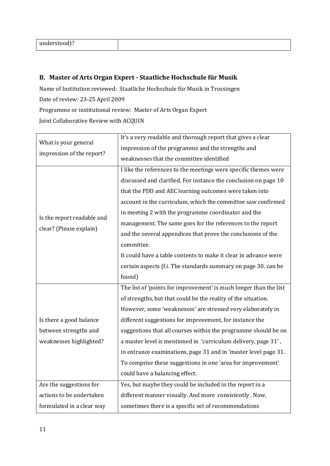| understood)? |  |
|--------------|--|
|--------------|--|

# <span id="page-10-0"></span>**B. Master of Arts Organ Expert - Staatliche Hochschule für Musik**

Name of Institution reviewed: Staatliche Hochschule für Musik in Trossingen Date of review: 23-25 April 2009 Programme or institutional review: Master of Arts Organ Expert

Joint Collaborative Review with ACQUIN

| What is your general<br>impression of the report?                           | It's a very readable and thorough report that gives a clear<br>impression of the programme and the strengths and<br>weaknesses that the committee identified                                                                                                                                                                                                                                                                                                                                                                                                                                                   |
|-----------------------------------------------------------------------------|----------------------------------------------------------------------------------------------------------------------------------------------------------------------------------------------------------------------------------------------------------------------------------------------------------------------------------------------------------------------------------------------------------------------------------------------------------------------------------------------------------------------------------------------------------------------------------------------------------------|
| Is the report readable and<br>clear? (Please explain)                       | I like the references to the meetings were specific themes were<br>discussed and clarified. For instance the conclusion on page 10<br>that the PDD and AEC learning outcomes were taken into<br>account in the curriculum, which the committee saw confirmed<br>in meeting 2 with the programme coordinator and the<br>management. The same goes for the references to the report<br>and the several appendices that prove the conclusions of the<br>committee.<br>It could have a table contents to make it clear in advance were<br>certain aspects (f.i. The standards summary on page 30. can be<br>found) |
| Is there a good balance<br>between strengths and<br>weaknesses highlighted? | The list of 'points for improvement' is much longer than the list<br>of strengths, but that could be the reality of the situation.<br>However, some 'weaknesses' are stressed very elaborately in<br>different suggestions for improvement, for instance the<br>suggestions that all courses within the programme should be on<br>a master level is mentioned in 'curriculum delivery, page 31',<br>in entrance examinations, page 31 and in 'master level page 31.<br>To comprise these suggestions in one 'area for improvement'<br>could have a balancing effect.                                           |
| Are the suggestions for<br>actions to be undertaken                         | Yes, but maybe they could be included in the report in a<br>different manner visually. And more consistently. Now,                                                                                                                                                                                                                                                                                                                                                                                                                                                                                             |
| formulated in a clear way                                                   | sometimes there is a specific set of recommendations                                                                                                                                                                                                                                                                                                                                                                                                                                                                                                                                                           |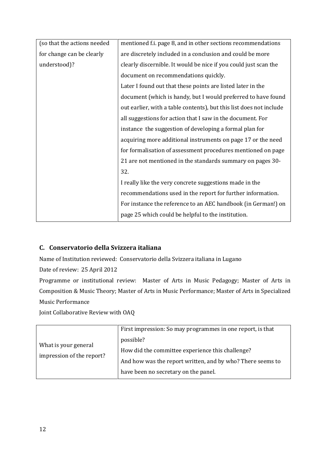| (so that the actions needed | mentioned f.i. page 8, and in other sections recommendations        |
|-----------------------------|---------------------------------------------------------------------|
| for change can be clearly   | are discretely included in a conclusion and could be more           |
| understood)?                | clearly discernible. It would be nice if you could just scan the    |
|                             | document on recommendations quickly.                                |
|                             | Later I found out that these points are listed later in the         |
|                             | document (which is handy, but I would preferred to have found       |
|                             | out earlier, with a table contents), but this list does not include |
|                             | all suggestions for action that I saw in the document. For          |
|                             | instance the suggestion of developing a formal plan for             |
|                             | acquiring more additional instruments on page 17 or the need        |
|                             | for formalisation of assessment procedures mentioned on page        |
|                             | 21 are not mentioned in the standards summary on pages 30-          |
|                             | 32.                                                                 |
|                             | I really like the very concrete suggestions made in the             |
|                             | recommendations used in the report for further information.         |
|                             | For instance the reference to an AEC handbook (in German!) on       |
|                             | page 25 which could be helpful to the institution.                  |

# <span id="page-11-0"></span>**C. Conservatorio della Svizzera italiana**

Name of Institution reviewed: Conservatorio della Svizzera italiana in Lugano

Date of review: 25 April 2012

Programme or institutional review: Master of Arts in Music Pedagogy; Master of Arts in Composition & Music Theory; Master of Arts in Music Performance; Master of Arts in Specialized Music Performance

Joint Collaborative Review with OAQ

| What is your general<br>impression of the report? | First impression: So may programmes in one report, is that<br>possible?<br>How did the committee experience this challenge?<br>And how was the report written, and by who? There seems to<br>have been no secretary on the panel. |
|---------------------------------------------------|-----------------------------------------------------------------------------------------------------------------------------------------------------------------------------------------------------------------------------------|
|---------------------------------------------------|-----------------------------------------------------------------------------------------------------------------------------------------------------------------------------------------------------------------------------------|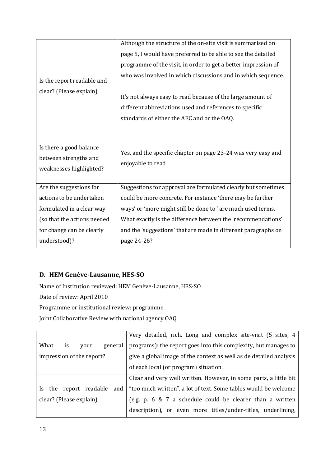|                                                                             | Although the structure of the on-site visit is summarised on                       |
|-----------------------------------------------------------------------------|------------------------------------------------------------------------------------|
|                                                                             | page 5, I would have preferred to be able to see the detailed                      |
|                                                                             | programme of the visit, in order to get a better impression of                     |
| Is the report readable and                                                  | who was involved in which discussions and in which sequence.                       |
| clear? (Please explain)                                                     |                                                                                    |
|                                                                             | It's not always easy to read because of the large amount of                        |
|                                                                             | different abbreviations used and references to specific                            |
|                                                                             | standards of either the AEC and or the OAQ.                                        |
|                                                                             |                                                                                    |
| Is there a good balance<br>between strengths and<br>weaknesses highlighted? | Yes, and the specific chapter on page 23-24 was very easy and<br>enjoyable to read |
| Are the suggestions for                                                     | Suggestions for approval are formulated clearly but sometimes                      |
| actions to be undertaken                                                    | could be more concrete. For instance 'there may be further                         |
| formulated in a clear way                                                   | ways' or 'more might still be done to ' are much used terms.                       |
| (so that the actions needed                                                 | What exactly is the difference between the 'recommendations'                       |
| for change can be clearly                                                   | and the 'suggestions' that are made in different paragraphs on                     |
| understood)?                                                                | page 24-26?                                                                        |

# <span id="page-12-0"></span>**D. HEM Genève-Lausanne, HES-SO**

Name of Institution reviewed: HEM Genève-Lausanne, HES-SO

Date of review: April 2010

Programme or institutional review: programme

Joint Collaborative Review with national agency OAQ

|                                | Very detailed, rich. Long and complex site-visit (5 sites, 4       |
|--------------------------------|--------------------------------------------------------------------|
| What<br>is<br>general<br>vour  | programs): the report goes into this complexity, but manages to    |
| impression of the report?      | give a global image of the context as well as de detailed analysis |
|                                | of each local (or program) situation.                              |
|                                | Clear and very well written. However, in some parts, a little bit  |
| the report readable and<br>ls. | "too much written", a lot of text. Some tables would be welcome    |
| clear? (Please explain)        | (e.g. p. 6 & 7 a schedule could be clearer than a written          |
|                                | description), or even more titles/under-titles, underlining,       |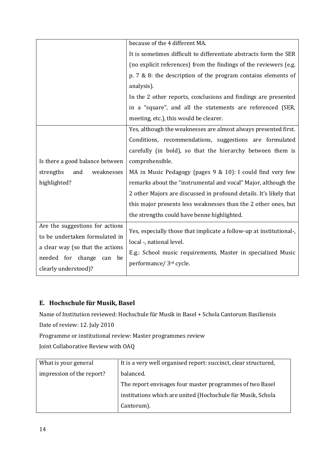|                                  | because of the 4 different MA.                                      |
|----------------------------------|---------------------------------------------------------------------|
|                                  | It is sometimes difficult to differentiate abstracts form the SER   |
|                                  | (no explicit references) from the findings of the reviewers (e.g.   |
|                                  | p. $7 \& 8$ : the description of the program contains elements of   |
|                                  | analysis).                                                          |
|                                  | In the 2 other reports, conclusions and findings are presented      |
|                                  | in a "square", and all the statements are referenced (SER,          |
|                                  | meeting, etc.), this would be clearer.                              |
|                                  | Yes, although the weaknesses are almost always presented first.     |
|                                  | Conditions, recommendations, suggestions are formulated             |
|                                  | carefully (in bold), so that the hierarchy between them is          |
| Is there a good balance between  | comprehensible.                                                     |
| strengths<br>and<br>weaknesses   | MA in Music Pedagogy (pages 9 & 10): I could find very few          |
| highlighted?                     | remarks about the "instrumental and vocal" Major, although the      |
|                                  | 2 other Majors are discussed in profound details. It's likely that  |
|                                  | this major presents less weaknesses than the 2 other ones, but      |
|                                  | the strengths could have benne highlighted.                         |
| Are the suggestions for actions  | Yes, especially those that implicate a follow-up at institutional-, |
| to be undertaken formulated in   | local -, national level.                                            |
| a clear way (so that the actions | E.g.: School music requirements, Master in specialized Music        |
| needed for change<br>be<br>can   | performance/ 3rd cycle.                                             |
| clearly understood)?             |                                                                     |

# <span id="page-13-0"></span>**E. Hochschule für Musik, Basel**

Name of Institution reviewed: Hochschule für Musik in Basel + Schola Cantorum Basiliensis

Date of review: 12. July 2010

Programme or institutional review: Master programmes review

Joint Collaborative Review with OAQ

| What is your general      | It is a very well organised report: succinct, clear structured, |
|---------------------------|-----------------------------------------------------------------|
| impression of the report? | balanced.                                                       |
|                           | The report envisages four master programmes of two Basel        |
|                           | institutions which are united (Hochschule für Musik, Schola     |
|                           | Cantorum).                                                      |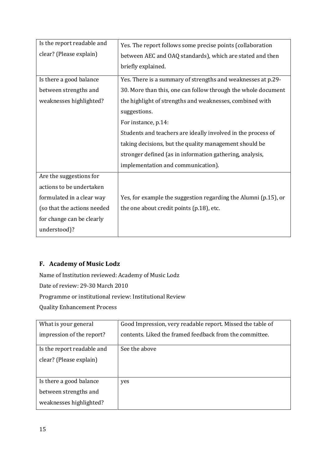| Is the report readable and  | Yes. The report follows some precise points (collaboration      |
|-----------------------------|-----------------------------------------------------------------|
| clear? (Please explain)     | between AEC and OAQ standards), which are stated and then       |
|                             | briefly explained.                                              |
| Is there a good balance     | Yes. There is a summary of strengths and weaknesses at p.29-    |
| between strengths and       | 30. More than this, one can follow through the whole document   |
| weaknesses highlighted?     | the highlight of strengths and weaknesses, combined with        |
|                             | suggestions.                                                    |
|                             | For instance, p.14:                                             |
|                             | Students and teachers are ideally involved in the process of    |
|                             | taking decisions, but the quality management should be          |
|                             | stronger defined (as in information gathering, analysis,        |
|                             | implementation and communication).                              |
| Are the suggestions for     |                                                                 |
| actions to be undertaken    |                                                                 |
| formulated in a clear way   | Yes, for example the suggestion regarding the Alumni (p.15), or |
| (so that the actions needed | the one about credit points (p.18), etc.                        |
| for change can be clearly   |                                                                 |
| understood)?                |                                                                 |

# <span id="page-14-0"></span>**F. Academy of Music Lodz**

Name of Institution reviewed: Academy of Music Lodz Date of review: 29-30 March 2010 Programme or institutional review: Institutional Review Quality Enhancement Process

| What is your general       | Good Impression, very readable report. Missed the table of |
|----------------------------|------------------------------------------------------------|
| impression of the report?  | contents. Liked the framed feedback from the committee.    |
| Is the report readable and | See the above                                              |
| clear? (Please explain)    |                                                            |
|                            |                                                            |
| Is there a good balance    | yes                                                        |
| between strengths and      |                                                            |
| weaknesses highlighted?    |                                                            |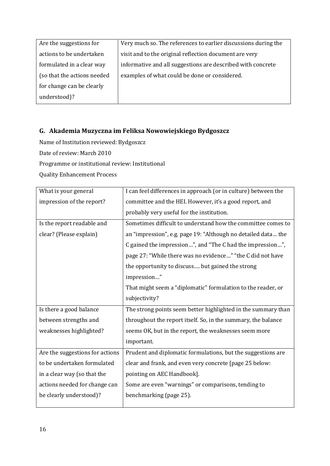| Are the suggestions for     | Very much so. The references to earlier discussions during the |
|-----------------------------|----------------------------------------------------------------|
| actions to be undertaken    | visit and to the original reflection document are very         |
| formulated in a clear way   | informative and all suggestions are described with concrete    |
| (so that the actions needed | examples of what could be done or considered.                  |
| for change can be clearly   |                                                                |
| understood)?                |                                                                |

# <span id="page-15-0"></span>**G. Akademia Muzyczna im Feliksa Nowowiejskiego Bydgoszcz**

Name of Institution reviewed: Bydgoszcz

Date of review: March 2010

Programme or institutional review: Institutional

Quality Enhancement Process

| What is your general            | I can feel differences in approach (or in culture) between the |
|---------------------------------|----------------------------------------------------------------|
| impression of the report?       | committee and the HEI. However, it's a good report, and        |
|                                 | probably very useful for the institution.                      |
| Is the report readable and      | Sometimes difficult to understand how the committee comes to   |
| clear? (Please explain)         | an "impression", e.g. page 19: "Although no detailed data the  |
|                                 | C gained the impression", and "The C had the impression",      |
|                                 | page 27: "While there was no evidence" "the C did not have     |
|                                 | the opportunity to discuss but gained the strong               |
|                                 | impression"                                                    |
|                                 | That might seem a "diplomatic" formulation to the reader, or   |
|                                 | subjectivity?                                                  |
| Is there a good balance         | The strong points seem better highlighted in the summary than  |
| between strengths and           | throughout the report itself. So, in the summary, the balance  |
| weaknesses highlighted?         | seems OK, but in the report, the weaknesses seem more          |
|                                 | important.                                                     |
| Are the suggestions for actions | Prudent and diplomatic formulations, but the suggestions are   |
| to be undertaken formulated     | clear and frank, and even very concrete [page 25 below:        |
| in a clear way (so that the     | pointing on AEC Handbook].                                     |
| actions needed for change can   | Some are even "warnings" or comparisons, tending to            |
| be clearly understood)?         | benchmarking (page 25).                                        |
|                                 |                                                                |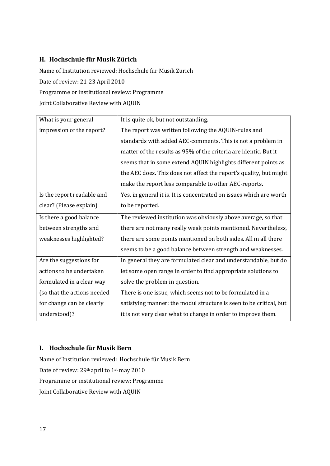### <span id="page-16-0"></span>**H. Hochschule für Musik Zürich**

Name of Institution reviewed: Hochschule für Musik Zürich Date of review: 21-23 April 2010 Programme or institutional review: Programme Joint Collaborative Review with AQUIN

| What is your general        | It is quite ok, but not outstanding.                                |
|-----------------------------|---------------------------------------------------------------------|
| impression of the report?   | The report was written following the AQUIN-rules and                |
|                             | standards with added AEC-comments. This is not a problem in         |
|                             | matter of the results as 95% of the criteria are identic. But it    |
|                             | seems that in some extend AQUIN highlights different points as      |
|                             | the AEC does. This does not affect the report's quality, but might  |
|                             | make the report less comparable to other AEC-reports.               |
| Is the report readable and  | Yes, in general it is. It is concentrated on issues which are worth |
| clear? (Please explain)     | to be reported.                                                     |
| Is there a good balance     | The reviewed institution was obviously above average, so that       |
| between strengths and       | there are not many really weak points mentioned. Nevertheless,      |
| weaknesses highlighted?     | there are some points mentioned on both sides. All in all there     |
|                             | seems to be a good balance between strength and weaknesses.         |
| Are the suggestions for     | In general they are formulated clear and understandable, but do     |
| actions to be undertaken    | let some open range in order to find appropriate solutions to       |
| formulated in a clear way   | solve the problem in question.                                      |
| (so that the actions needed | There is one issue, which seems not to be formulated in a           |
| for change can be clearly   | satisfying manner: the modul structure is seen to be critical, but  |
| understood)?                | it is not very clear what to change in order to improve them.       |

#### <span id="page-16-1"></span>**I. Hochschule für Musik Bern**

Name of Institution reviewed: Hochschule für Musik Bern Date of review: 29th april to 1st may 2010 Programme or institutional review: Programme Joint Collaborative Review with AQUIN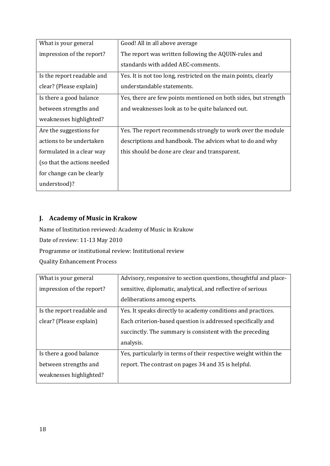| What is your general        | Good! All in all above average                                  |
|-----------------------------|-----------------------------------------------------------------|
| impression of the report?   | The report was written following the AQUIN-rules and            |
|                             | standards with added AEC-comments.                              |
| Is the report readable and  | Yes. It is not too long, restricted on the main points, clearly |
| clear? (Please explain)     | understandable statements.                                      |
| Is there a good balance     | Yes, there are few points mentioned on both sides, but strength |
| between strengths and       | and weaknesses look as to be quite balanced out.                |
| weaknesses highlighted?     |                                                                 |
| Are the suggestions for     | Yes. The report recommends strongly to work over the module     |
| actions to be undertaken    | descriptions and handbook. The advices what to do and why       |
| formulated in a clear way   | this should be done are clear and transparent.                  |
| (so that the actions needed |                                                                 |
| for change can be clearly   |                                                                 |
| understood)?                |                                                                 |

# <span id="page-17-0"></span>**J. Academy of Music in Krakow**

Name of Institution reviewed: Academy of Music in Krakow Date of review: 11-13 May 2010 Programme or institutional review: Institutional review Quality Enhancement Process

| What is your general       | Advisory, responsive to section questions, thoughtful and place- |
|----------------------------|------------------------------------------------------------------|
| impression of the report?  | sensitive, diplomatic, analytical, and reflective of serious     |
|                            | deliberations among experts.                                     |
| Is the report readable and | Yes. It speaks directly to academy conditions and practices.     |
| clear? (Please explain)    | Each criterion-based question is addressed specifically and      |
|                            | succinctly. The summary is consistent with the preceding         |
|                            | analysis.                                                        |
| Is there a good balance    | Yes, particularly in terms of their respective weight within the |
| between strengths and      | report. The contrast on pages 34 and 35 is helpful.              |
| weaknesses highlighted?    |                                                                  |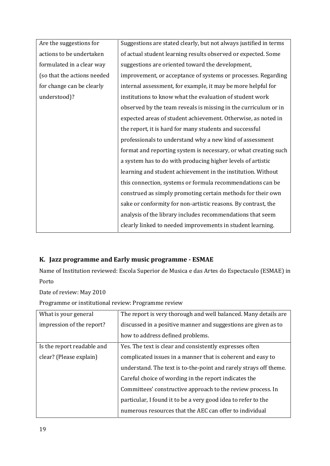| Are the suggestions for     | Suggestions are stated clearly, but not always justified in terms |
|-----------------------------|-------------------------------------------------------------------|
| actions to be undertaken    | of actual student learning results observed or expected. Some     |
| formulated in a clear way   | suggestions are oriented toward the development,                  |
| (so that the actions needed | improvement, or acceptance of systems or processes. Regarding     |
| for change can be clearly   | internal assessment, for example, it may be more helpful for      |
| understood)?                | institutions to know what the evaluation of student work          |
|                             | observed by the team reveals is missing in the curriculum or in   |
|                             | expected areas of student achievement. Otherwise, as noted in     |
|                             | the report, it is hard for many students and successful           |
|                             | professionals to understand why a new kind of assessment          |
|                             | format and reporting system is necessary, or what creating such   |
|                             | a system has to do with producing higher levels of artistic       |
|                             | learning and student achievement in the institution. Without      |
|                             | this connection, systems or formula recommendations can be        |
|                             | construed as simply promoting certain methods for their own       |
|                             | sake or conformity for non-artistic reasons. By contrast, the     |
|                             | analysis of the library includes recommendations that seem        |
|                             | clearly linked to needed improvements in student learning.        |
|                             |                                                                   |

# <span id="page-18-0"></span>**K. Jazz programme and Early music programme - ESMAE**

Name of Institution reviewed: Escola Superior de Musica e das Artes do Espectaculo (ESMAE) in Porto

Date of review: May 2010

Programme or institutional review: Programme review

| What is your general       | The report is very thorough and well balanced. Many details are   |
|----------------------------|-------------------------------------------------------------------|
| impression of the report?  | discussed in a positive manner and suggestions are given as to    |
|                            | how to address defined problems.                                  |
| Is the report readable and | Yes. The text is clear and consistently expresses often           |
| clear? (Please explain)    | complicated issues in a manner that is coherent and easy to       |
|                            | understand. The text is to-the-point and rarely strays off theme. |
|                            | Careful choice of wording in the report indicates the             |
|                            | Committees' constructive approach to the review process. In       |
|                            | particular, I found it to be a very good idea to refer to the     |
|                            | numerous resources that the AEC can offer to individual           |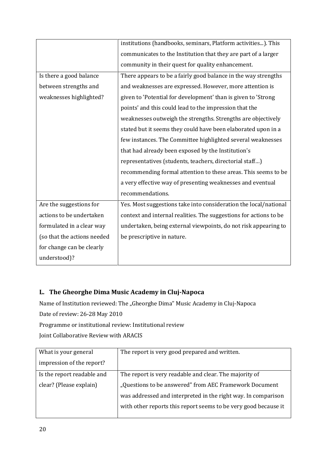|                             | institutions (handbooks, seminars, Platform activities). This     |
|-----------------------------|-------------------------------------------------------------------|
|                             | communicates to the Institution that they are part of a larger    |
|                             | community in their quest for quality enhancement.                 |
| Is there a good balance     | There appears to be a fairly good balance in the way strengths    |
| between strengths and       | and weaknesses are expressed. However, more attention is          |
| weaknesses highlighted?     | given to 'Potential for development' than is given to 'Strong     |
|                             | points' and this could lead to the impression that the            |
|                             | weaknesses outweigh the strengths. Strengths are objectively      |
|                             | stated but it seems they could have been elaborated upon in a     |
|                             | few instances. The Committee highlighted several weaknesses       |
|                             | that had already been exposed by the Institution's                |
|                             | representatives (students, teachers, directorial staff)           |
|                             | recommending formal attention to these areas. This seems to be    |
|                             | a very effective way of presenting weaknesses and eventual        |
|                             | recommendations.                                                  |
| Are the suggestions for     | Yes. Most suggestions take into consideration the local/national  |
| actions to be undertaken    | context and internal realities. The suggestions for actions to be |
| formulated in a clear way   | undertaken, being external viewpoints, do not risk appearing to   |
| (so that the actions needed | be prescriptive in nature.                                        |
| for change can be clearly   |                                                                   |
| understood)?                |                                                                   |

# <span id="page-19-0"></span>**L. The Gheorghe Dima Music Academy in Cluj-Napoca**

Name of Institution reviewed: The "Gheorghe Dima" Music Academy in Cluj-Napoca

Date of review: 26-28 May 2010

Programme or institutional review: Institutional review

Joint Collaborative Review with ARACIS

| What is your general       | The report is very good prepared and written.                   |
|----------------------------|-----------------------------------------------------------------|
| impression of the report?  |                                                                 |
| Is the report readable and | The report is very readable and clear. The majority of          |
| clear? (Please explain)    | "Questions to be answered" from AEC Framework Document          |
|                            | was addressed and interpreted in the right way. In comparison   |
|                            | with other reports this report seems to be very good because it |
|                            |                                                                 |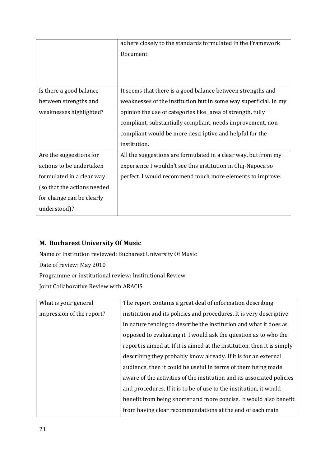|                             | adhere closely to the standards formulated in the Framework      |
|-----------------------------|------------------------------------------------------------------|
|                             | Document.                                                        |
|                             |                                                                  |
|                             |                                                                  |
|                             |                                                                  |
| Is there a good balance     | It seems that there is a good balance between strengths and      |
| between strengths and       | weaknesses of the institution but in some way superficial. In my |
| weaknesses highlighted?     | opinion the use of categories like "area of strength, fully      |
|                             | compliant, substantially compliant, needs improvement, non-      |
|                             | compliant would be more descriptive and helpful for the          |
|                             | institution.                                                     |
| Are the suggestions for     | All the suggestions are formulated in a clear way, but from my   |
| actions to be undertaken    | experience I wouldn't see this institution in Cluj-Napoca so     |
| formulated in a clear way   | perfect. I would recommend much more elements to improve.        |
| (so that the actions needed |                                                                  |
| for change can be clearly   |                                                                  |
| understood)?                |                                                                  |

# <span id="page-20-0"></span>**M. Bucharest University Of Music**

Name of Institution reviewed: Bucharest University Of Music Date of review: May 2010 Programme or institutional review: Institutional Review Joint Collaborative Review with ARACIS

| What is your general      | The report contains a great deal of information describing               |
|---------------------------|--------------------------------------------------------------------------|
| impression of the report? | institution and its policies and procedures. It is very descriptive      |
|                           | in nature tending to describe the institution and what it does as        |
|                           | opposed to evaluating it. I would ask the question as to who the         |
|                           | report is aimed at. If it is aimed at the institution, then it is simply |
|                           | describing they probably know already. If it is for an external          |
|                           | audience, then it could be useful in terms of them being made            |
|                           | aware of the activities of the institution and its associated policies   |
|                           | and procedures. If it is to be of use to the institution, it would       |
|                           | benefit from being shorter and more concise. It would also benefit       |
|                           | from having clear recommendations at the end of each main                |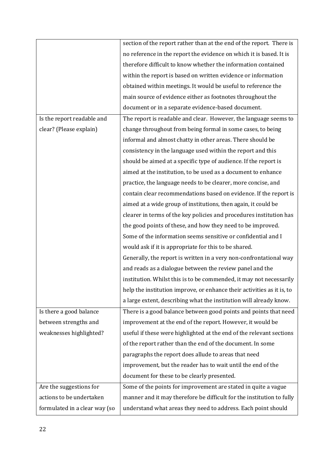|                               | section of the report rather than at the end of the report. There is   |
|-------------------------------|------------------------------------------------------------------------|
|                               | no reference in the report the evidence on which it is based. It is    |
|                               | therefore difficult to know whether the information contained          |
|                               | within the report is based on written evidence or information          |
|                               | obtained within meetings. It would be useful to reference the          |
|                               | main source of evidence either as footnotes throughout the             |
|                               | document or in a separate evidence-based document.                     |
| Is the report readable and    | The report is readable and clear. However, the language seems to       |
| clear? (Please explain)       | change throughout from being formal in some cases, to being            |
|                               | informal and almost chatty in other areas. There should be             |
|                               | consistency in the language used within the report and this            |
|                               | should be aimed at a specific type of audience. If the report is       |
|                               | aimed at the institution, to be used as a document to enhance          |
|                               | practice, the language needs to be clearer, more concise, and          |
|                               | contain clear recommendations based on evidence. If the report is      |
|                               | aimed at a wide group of institutions, then again, it could be         |
|                               | clearer in terms of the key policies and procedures institution has    |
|                               | the good points of these, and how they need to be improved.            |
|                               | Some of the information seems sensitive or confidential and I          |
|                               | would ask if it is appropriate for this to be shared.                  |
|                               | Generally, the report is written in a very non-confrontational way     |
|                               | and reads as a dialogue between the review panel and the               |
|                               | institution. Whilst this is to be commended, it may not necessarily    |
|                               | help the institution improve, or enhance their activities as it is, to |
|                               | a large extent, describing what the institution will already know.     |
| Is there a good balance       | There is a good balance between good points and points that need       |
| between strengths and         | improvement at the end of the report. However, it would be             |
| weaknesses highlighted?       | useful if these were highlighted at the end of the relevant sections   |
|                               | of the report rather than the end of the document. In some             |
|                               | paragraphs the report does allude to areas that need                   |
|                               | improvement, but the reader has to wait until the end of the           |
|                               | document for these to be clearly presented.                            |
| Are the suggestions for       | Some of the points for improvement are stated in quite a vague         |
| actions to be undertaken      | manner and it may therefore be difficult for the institution to fully  |
| formulated in a clear way (so | understand what areas they need to address. Each point should          |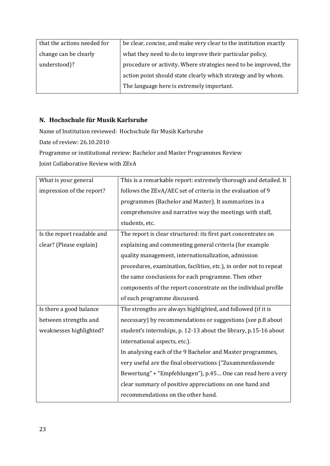| that the actions needed for | be clear, concise, and make very clear to the institution exactly |
|-----------------------------|-------------------------------------------------------------------|
| change can be clearly       | what they need to do to improve their particular policy,          |
| understood)?                | procedure or activity. Where strategies need to be improved, the  |
|                             | action point should state clearly which strategy and by whom.     |
|                             | The language here is extremely important.                         |

# <span id="page-22-0"></span>**N. Hochschule für Musik Karlsruhe**

Name of Institution reviewed: Hochschule für Musik Karlsruhe Date of review: 26.10.2010 Programme or institutional review: Bachelor and Master Programmes Review

Joint Collaborative Review with ZEvA

| What is your general       | This is a remarkable report: extremely thorough and detailed. It   |
|----------------------------|--------------------------------------------------------------------|
| impression of the report?  | follows the ZEvA/AEC set of criteria in the evaluation of 9        |
|                            | programmes (Bachelor and Master). It summarizes in a               |
|                            | comprehensive and narrative way the meetings with staff,           |
|                            | students, etc.                                                     |
| Is the report readable and | The report is clear structured: its first part concentrates on     |
| clear? (Please explain)    | explaining and commenting general criteria (for example            |
|                            | quality management, internationalization, admission                |
|                            | procedures, examination, facilities, etc.), in order not to repeat |
|                            | the same conclusions for each programme. Then other                |
|                            | components of the report concentrate on the individual profile     |
|                            | of each programme discussed.                                       |
| Is there a good balance    | The strengths are always highlighted, and followed (if it is       |
| between strengths and      | necessary) by recommendations or suggestions (see p.8 about        |
| weaknesses highlighted?    | student's internships, p. 12-13 about the library, p.15-16 about   |
|                            | international aspects, etc.).                                      |
|                            | In analysing each of the 9 Bachelor and Master programmes,         |
|                            | very useful are the final observations ("Zusammenfassende          |
|                            | Bewertung" + "Empfehlungen"), p.45 One can read here a very        |
|                            | clear summary of positive appreciations on one hand and            |
|                            | recommendations on the other hand.                                 |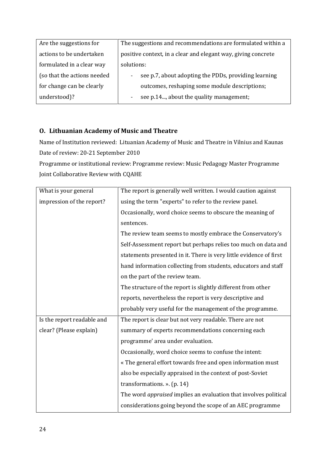| Are the suggestions for     | The suggestions and recommendations are formulated within a   |
|-----------------------------|---------------------------------------------------------------|
| actions to be undertaken    | positive context, in a clear and elegant way, giving concrete |
| formulated in a clear way   | solutions:                                                    |
| (so that the actions needed | see p.7, about adopting the PDDs, providing learning          |
| for change can be clearly   | outcomes, reshaping some module descriptions;                 |
| understood)?                | see p.14, about the quality management;                       |
|                             |                                                               |

# <span id="page-23-0"></span>**O. Lithuanian Academy of Music and Theatre**

Name of Institution reviewed: Lituanian Academy of Music and Theatre in Vilnius and Kaunas Date of review: 20-21 September 2010

Programme or institutional review: Programme review: Music Pedagogy Master Programme Joint Collaborative Review with CQAHE

| What is your general       | The report is generally well written. I would caution against      |
|----------------------------|--------------------------------------------------------------------|
| impression of the report?  | using the term "experts" to refer to the review panel.             |
|                            | Occasionally, word choice seems to obscure the meaning of          |
|                            | sentences.                                                         |
|                            | The review team seems to mostly embrace the Conservatory's         |
|                            | Self-Assessment report but perhaps relies too much on data and     |
|                            | statements presented in it. There is very little evidence of first |
|                            | hand information collecting from students, educators and staff     |
|                            | on the part of the review team.                                    |
|                            | The structure of the report is slightly different from other       |
|                            | reports, nevertheless the report is very descriptive and           |
|                            | probably very useful for the management of the programme.          |
| Is the report readable and | The report is clear but not very readable. There are not           |
| clear? (Please explain)    | summary of experts recommendations concerning each                 |
|                            | programme' area under evaluation.                                  |
|                            | Occasionally, word choice seems to confuse the intent:             |
|                            | « The general effort towards free and open information must        |
|                            | also be especially appraised in the context of post-Soviet         |
|                            | transformations. $\ast$ . (p. 14)                                  |
|                            | The word appraised implies an evaluation that involves political   |
|                            | considerations going beyond the scope of an AEC programme          |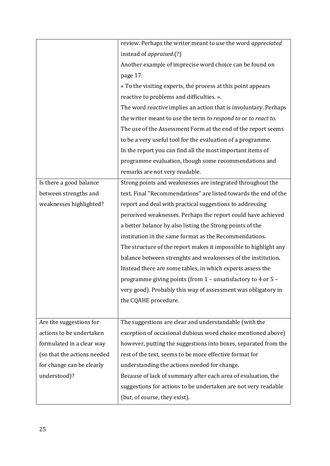|                             | review. Perhaps the writer meant to use the word appreciated     |
|-----------------------------|------------------------------------------------------------------|
|                             | instead of <i>appraised.</i> (?)                                 |
|                             | Another example of imprecise word choice can be found on         |
|                             | page 17:                                                         |
|                             | « To the visiting experts, the process at this point appears     |
|                             | reactive to problems and difficulties. ».                        |
|                             | The word reactive implies an action that is involuntary. Perhaps |
|                             | the writer meant to use the term to respond to or to react to.   |
|                             | The use of the Assessment Form at the end of the report seems    |
|                             | to be a very useful tool for the evaluation of a programme.      |
|                             | In the report you can find all the most important items of       |
|                             | programme evaluation, though some recommendations and            |
|                             | remarks are not very readable.                                   |
| Is there a good balance     | Strong points and weaknesses are integrated throughout the       |
| between strengths and       | text. Final "Recommendations" are listed towards the end of the  |
| weaknesses highlighted?     | report and deal with practical suggestions to addressing         |
|                             | perceived weaknesses. Perhaps the report could have achieved     |
|                             | a better balance by also listing the Strong points of the        |
|                             | institution in the same format as the Recommendations.           |
|                             | The structure of the report makes it impossible to highlight any |
|                             | balance between strenghts and weaknesses of the institution.     |
|                             | Instead there are some tables, in which experts assess the       |
|                             | programme giving points (from 1 - unsatisfactory to 4 or 5 -     |
|                             | very good). Probably this way of assessment was obligatory in    |
|                             | the CQAHE procedure.                                             |
|                             |                                                                  |
| Are the suggestions for     | The suggestions are clear and understandable (with the           |
| actions to be undertaken    | exception of occasional dubious word choice mentioned above)     |
| formulated in a clear way   | however, putting the suggestions into boxes, separated from the  |
| (so that the actions needed | rest of the text, seems to be more effective format for          |
| for change can be clearly   | understanding the actions needed for change.                     |
| understood)?                | Because of lack of summary after each area of evaluation, the    |
|                             | suggestions for actions to be undertaken are not very readable   |
|                             | (but, of course, they exist).                                    |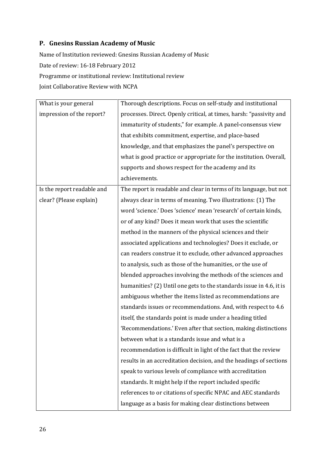# <span id="page-25-0"></span>**P. Gnesins Russian Academy of Music**

Name of Institution reviewed: Gnesins Russian Academy of Music

Date of review: 16-18 February 2012

Programme or institutional review: Institutional review

Joint Collaborative Review with NCPA

| What is your general       | Thorough descriptions. Focus on self-study and institutional        |
|----------------------------|---------------------------------------------------------------------|
| impression of the report?  | processes. Direct. Openly critical, at times, harsh: "passivity and |
|                            | immaturity of students," for example. A panel-consensus view        |
|                            | that exhibits commitment, expertise, and place-based                |
|                            | knowledge, and that emphasizes the panel's perspective on           |
|                            | what is good practice or appropriate for the institution. Overall,  |
|                            | supports and shows respect for the academy and its                  |
|                            | achievements.                                                       |
| Is the report readable and | The report is readable and clear in terms of its language, but not  |
| clear? (Please explain)    | always clear in terms of meaning. Two illustrations: (1) The        |
|                            | word 'science.' Does 'science' mean 'research' of certain kinds,    |
|                            | or of any kind? Does it mean work that uses the scientific          |
|                            | method in the manners of the physical sciences and their            |
|                            | associated applications and technologies? Does it exclude, or       |
|                            | can readers construe it to exclude, other advanced approaches       |
|                            | to analysis, such as those of the humanities, or the use of         |
|                            | blended approaches involving the methods of the sciences and        |
|                            | humanities? (2) Until one gets to the standards issue in 4.6, it is |
|                            | ambiguous whether the items listed as recommendations are           |
|                            | standards issues or recommendations. And, with respect to 4.6       |
|                            | itself, the standards point is made under a heading titled          |
|                            | 'Recommendations.' Even after that section, making distinctions     |
|                            | between what is a standards issue and what is a                     |
|                            | recommendation is difficult in light of the fact that the review    |
|                            | results in an accreditation decision, and the headings of sections  |
|                            | speak to various levels of compliance with accreditation            |
|                            | standards. It might help if the report included specific            |
|                            | references to or citations of specific NPAC and AEC standards       |
|                            | language as a basis for making clear distinctions between           |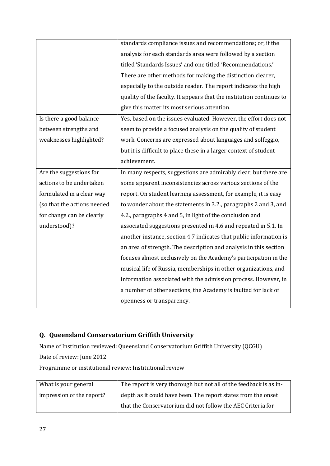|                             | standards compliance issues and recommendations; or, if the          |
|-----------------------------|----------------------------------------------------------------------|
|                             | analysis for each standards area were followed by a section          |
|                             | titled 'Standards Issues' and one titled 'Recommendations.'          |
|                             | There are other methods for making the distinction clearer,          |
|                             | especially to the outside reader. The report indicates the high      |
|                             | quality of the faculty. It appears that the institution continues to |
|                             | give this matter its most serious attention.                         |
| Is there a good balance     | Yes, based on the issues evaluated. However, the effort does not     |
| between strengths and       | seem to provide a focused analysis on the quality of student         |
| weaknesses highlighted?     | work. Concerns are expressed about languages and solfeggio,          |
|                             | but it is difficult to place these in a larger context of student    |
|                             | achievement.                                                         |
| Are the suggestions for     | In many respects, suggestions are admirably clear, but there are     |
| actions to be undertaken    | some apparent inconsistencies across various sections of the         |
| formulated in a clear way   | report. On student learning assessment, for example, it is easy      |
| (so that the actions needed | to wonder about the statements in 3.2., paragraphs 2 and 3, and      |
| for change can be clearly   | 4.2., paragraphs 4 and 5, in light of the conclusion and             |
| understood)?                | associated suggestions presented in 4.6 and repeated in 5.1. In      |
|                             | another instance, section 4.7 indicates that public information is   |
|                             | an area of strength. The description and analysis in this section    |
|                             | focuses almost exclusively on the Academy's participation in the     |
|                             | musical life of Russia, memberships in other organizations, and      |
|                             | information associated with the admission process. However, in       |
|                             | a number of other sections, the Academy is faulted for lack of       |
|                             | openness or transparency.                                            |

# <span id="page-26-0"></span>**Q. Queensland Conservatorium Griffith University**

Name of Institution reviewed: Queensland Conservatorium Griffith University (QCGU) Date of review: June 2012

Programme or institutional review: Institutional review

| What is your general      | The report is very thorough but not all of the feedback is as in- |
|---------------------------|-------------------------------------------------------------------|
| impression of the report? | depth as it could have been. The report states from the onset     |
|                           | that the Conservatorium did not follow the AEC Criteria for       |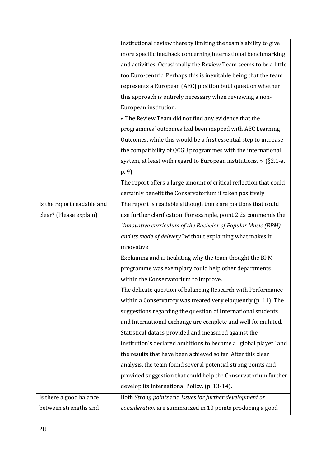|                            | institutional review thereby limiting the team's ability to give   |
|----------------------------|--------------------------------------------------------------------|
|                            | more specific feedback concerning international benchmarking       |
|                            | and activities. Occasionally the Review Team seems to be a little  |
|                            | too Euro-centric. Perhaps this is inevitable being that the team   |
|                            | represents a European (AEC) position but I question whether        |
|                            | this approach is entirely necessary when reviewing a non-          |
|                            | European institution.                                              |
|                            | « The Review Team did not find any evidence that the               |
|                            | programmes' outcomes had been mapped with AEC Learning             |
|                            | Outcomes, while this would be a first essential step to increase   |
|                            | the compatibility of QCGU programmes with the international        |
|                            | system, at least with regard to European institutions. » (§2.1-a,  |
|                            | (p. 9)                                                             |
|                            | The report offers a large amount of critical reflection that could |
|                            | certainly benefit the Conservatorium if taken positively.          |
| Is the report readable and | The report is readable although there are portions that could      |
| clear? (Please explain)    | use further clarification. For example, point 2.2a commends the    |
|                            | "innovative curriculum of the Bachelor of Popular Music (BPM)      |
|                            | and its mode of delivery" without explaining what makes it         |
|                            | innovative.                                                        |
|                            | Explaining and articulating why the team thought the BPM           |
|                            | programme was exemplary could help other departments               |
|                            | within the Conservatorium to improve.                              |
|                            | The delicate question of balancing Research with Performance       |
|                            | within a Conservatory was treated very eloquently (p. 11). The     |
|                            | suggestions regarding the question of International students       |
|                            | and International exchange are complete and well formulated.       |
|                            | Statistical data is provided and measured against the              |
|                            | institution's declared ambitions to become a "global player" and   |
|                            | the results that have been achieved so far. After this clear       |
|                            | analysis, the team found several potential strong points and       |
|                            | provided suggestion that could help the Conservatorium further     |
|                            | develop its International Policy. (p. 13-14).                      |
| Is there a good balance    | Both Strong points and Issues for further development or           |
| between strengths and      | consideration are summarized in 10 points producing a good         |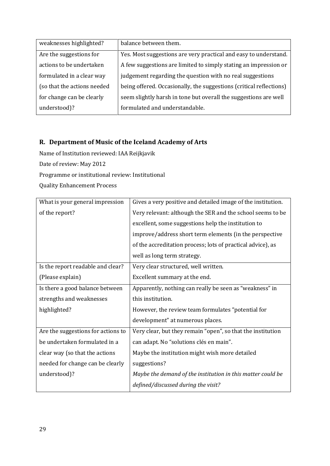| weaknesses highlighted?     | balance between them.                                               |
|-----------------------------|---------------------------------------------------------------------|
| Are the suggestions for     | Yes. Most suggestions are very practical and easy to understand.    |
| actions to be undertaken    | A few suggestions are limited to simply stating an impression or    |
| formulated in a clear way   | judgement regarding the question with no real suggestions           |
| (so that the actions needed | being offered. Occasionally, the suggestions (critical reflections) |
| for change can be clearly   | seem slightly harsh in tone but overall the suggestions are well    |
| understood)?                | formulated and understandable.                                      |

# <span id="page-28-0"></span>**R. Department of Music of the Iceland Academy of Arts**

Name of Institution reviewed: IAA Reijkjavik

Date of review: May 2012

Programme or institutional review: Institutional

Quality Enhancement Process

| What is your general impression    | Gives a very positive and detailed image of the institution. |
|------------------------------------|--------------------------------------------------------------|
| of the report?                     | Very relevant: although the SER and the school seems to be   |
|                                    | excellent, some suggestions help the institution to          |
|                                    | improve/address short term elements (in the perspective      |
|                                    | of the accreditation process; lots of practical advice), as  |
|                                    | well as long term strategy.                                  |
| Is the report readable and clear?  | Very clear structured, well written.                         |
| (Please explain)                   | Excellent summary at the end.                                |
| Is there a good balance between    | Apparently, nothing can really be seen as "weakness" in      |
| strengths and weaknesses           | this institution.                                            |
| highlighted?                       | However, the review team formulates "potential for           |
|                                    | development" at numerous places.                             |
| Are the suggestions for actions to | Very clear, but they remain "open", so that the institution  |
| be undertaken formulated in a      | can adapt. No "solutions clés en main".                      |
| clear way (so that the actions     | Maybe the institution might wish more detailed               |
| needed for change can be clearly   | suggestions?                                                 |
| understood)?                       | Maybe the demand of the institution in this matter could be  |
|                                    | defined/discussed during the visit?                          |